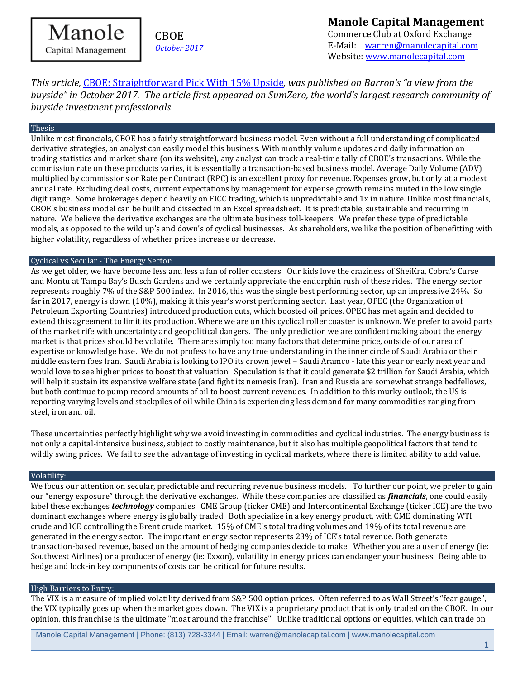Manole Capital Management

# CBOE *October 2017*

# **Manole Capital Management**  Commerce Club at Oxford Exchange

E-Mail: [warren@manolecapital.com](mailto:warren@manolecapital.com) Website[: www.manolecapital.com](http://www.manolecapital.com/) 

*This article,* [CBOE: Straightforward Pick With 15% Upside](https://www.barrons.com/articles/cboe-straightforward-pick-with-15-upside-1509021177)*, was published on Barron's "a view from the buyside" in October 2017. The article first appeared on SumZero, the world's largest research community of buyside investment professionals*

#### Thesis

Unlike most financials, CBOE has a fairly straightforward business model. Even without a full understanding of complicated derivative strategies, an analyst can easily model this business. With monthly volume updates and daily information on trading statistics and market share (on its website), any analyst can track a real-time tally of CBOE's transactions. While the commission rate on these products varies, it is essentially a transaction-based business model. Average Daily Volume (ADV) multiplied by commissions or Rate per Contract (RPC) is an excellent proxy for revenue. Expenses grow, but only at a modest annual rate. Excluding deal costs, current expectations by management for expense growth remains muted in the low single digit range. Some brokerages depend heavily on FICC trading, which is unpredictable and 1x in nature. Unlike most financials, CBOE's business model can be built and dissected in an Excel spreadsheet. It is predictable, sustainable and recurring in nature. We believe the derivative exchanges are the ultimate business toll-keepers. We prefer these type of predictable models, as opposed to the wild up's and down's of cyclical businesses. As shareholders, we like the position of benefitting with higher volatility, regardless of whether prices increase or decrease.

#### Cyclical vs Secular - The Energy Sector:

As we get older, we have become less and less a fan of roller coasters. Our kids love the craziness of SheiKra, Cobra's Curse and Montu at Tampa Bay's Busch Gardens and we certainly appreciate the endorphin rush of these rides. The energy sector represents roughly 7% of the S&P 500 index. In 2016, this was the single best performing sector, up an impressive 24%. So far in 2017, energy is down (10%), making it this year's worst performing sector. Last year, OPEC (the Organization of Petroleum Exporting Countries) introduced production cuts, which boosted oil prices. OPEC has met again and decided to extend this agreement to limit its production. Where we are on this cyclical roller coaster is unknown. We prefer to avoid parts of the market rife with uncertainty and geopolitical dangers. The only prediction we are confident making about the energy market is that prices should be volatile. There are simply too many factors that determine price, outside of our area of expertise or knowledge base. We do not profess to have any true understanding in the inner circle of Saudi Arabia or their middle eastern foes Iran. Saudi Arabia is looking to IPO its crown jewel – Saudi Aramco - late this year or early next year and would love to see higher prices to boost that valuation. Speculation is that it could generate \$2 trillion for Saudi Arabia, which will help it sustain its expensive welfare state (and fight its nemesis Iran). Iran and Russia are somewhat strange bedfellows, but both continue to pump record amounts of oil to boost current revenues. In addition to this murky outlook, the US is reporting varying levels and stockpiles of oil while China is experiencing less demand for many commodities ranging from steel, iron and oil.

These uncertainties perfectly highlight why we avoid investing in commodities and cyclical industries. The energy business is not only a capital-intensive business, subject to costly maintenance, but it also has multiple geopolitical factors that tend to wildly swing prices. We fail to see the advantage of investing in cyclical markets, where there is limited ability to add value.

### Volatility:

We focus our attention on secular, predictable and recurring revenue business models. To further our point, we prefer to gain our "energy exposure" through the derivative exchanges. While these companies are classified as *financials*, one could easily label these exchanges *technology* companies. CME Group (ticker CME) and Intercontinental Exchange (ticker ICE) are the two dominant exchanges where energy is globally traded. Both specialize in a key energy product, with CME dominating WTI crude and ICE controlling the Brent crude market. 15% of CME's total trading volumes and 19% of its total revenue are generated in the energy sector. The important energy sector represents 23% of ICE's total revenue. Both generate transaction-based revenue, based on the amount of hedging companies decide to make. Whether you are a user of energy (ie: Southwest Airlines) or a producer of energy (ie: Exxon), volatility in energy prices can endanger your business. Being able to hedge and lock-in key components of costs can be critical for future results.

## High Barriers to Entry:

The VIX is a measure of implied volatility derived from S&P 500 option prices. Often referred to as Wall Street's "fear gauge", the VIX typically goes up when the market goes down. The VIX is a proprietary product that is only traded on the CBOE. In our opinion, this franchise is the ultimate "moat around the franchise". Unlike traditional options or equities, which can trade on

Manole Capital Management | Phone: (813) 728-3344 | Email: warren@manolecapital.com | www.manolecapital.com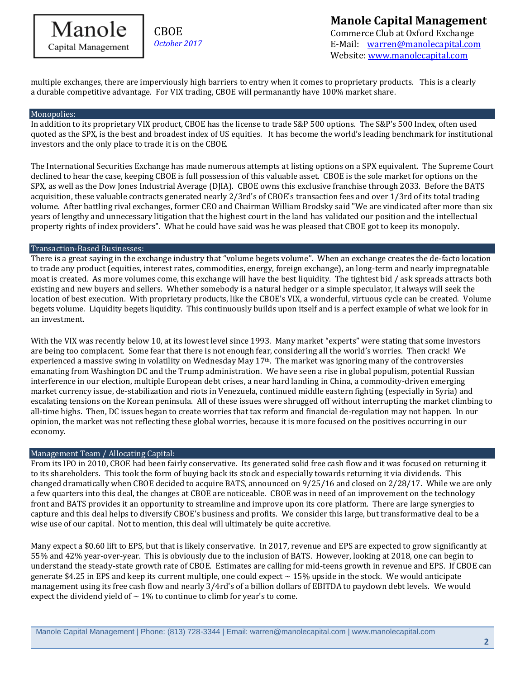

**CBOE** *October 2017* **Manole Capital Management** 

Commerce Club at Oxford Exchange E-Mail: [warren@manolecapital.com](mailto:warren@manolecapital.com) Website[: www.manolecapital.com](http://www.manolecapital.com/) 

multiple exchanges, there are imperviously high barriers to entry when it comes to proprietary products. This is a clearly a durable competitive advantage. For VIX trading, CBOE will permanantly have 100% market share.

#### Monopolies:

In addition to its proprietary VIX product, CBOE has the license to trade S&P 500 options. The S&P's 500 Index, often used quoted as the SPX, is the best and broadest index of US equities. It has become the world's leading benchmark for institutional investors and the only place to trade it is on the CBOE.

The International Securities Exchange has made numerous attempts at listing options on a SPX equivalent. The Supreme Court declined to hear the case, keeping CBOE is full possession of this valuable asset. CBOE is the sole market for options on the SPX, as well as the Dow Jones Industrial Average (DJIA). CBOE owns this exclusive franchise through 2033. Before the BATS acquisition, these valuable contracts generated nearly 2/3rd's of CBOE's transaction fees and over 1/3rd of its total trading volume. After battling rival exchanges, former CEO and Chairman William Brodsky said "We are vindicated after more than six years of lengthy and unnecessary litigation that the highest court in the land has validated our position and the intellectual property rights of index providers". What he could have said was he was pleased that CBOE got to keep its monopoly.

#### Transaction-Based Businesses:

There is a great saying in the exchange industry that "volume begets volume". When an exchange creates the de-facto location to trade any product (equities, interest rates, commodities, energy, foreign exchange), an long-term and nearly impregnatable moat is created. As more volumes come, this exchange will have the best liquidity. The tightest bid / ask spreads attracts both existing and new buyers and sellers. Whether somebody is a natural hedger or a simple speculator, it always will seek the location of best execution. With proprietary products, like the CBOE's VIX, a wonderful, virtuous cycle can be created. Volume begets volume. Liquidity begets liquidity. This continuously builds upon itself and is a perfect example of what we look for in an investment.

With the VIX was recently below 10, at its lowest level since 1993. Many market "experts" were stating that some investors are being too complacent. Some fear that there is not enough fear, considering all the world's worries. Then crack! We experienced a massive swing in volatility on Wednesday May  $17<sup>th</sup>$ . The market was ignoring many of the controversies emanating from Washington DC and the Trump administration. We have seen a rise in global populism, potential Russian interference in our election, multiple European debt crises, a near hard landing in China, a commodity-driven emerging market currency issue, de-stabilization and riots in Venezuela, continued middle eastern fighting (especially in Syria) and escalating tensions on the Korean peninsula. All of these issues were shrugged off without interrupting the market climbing to all-time highs. Then, DC issues began to create worries that tax reform and financial de-regulation may not happen. In our opinion, the market was not reflecting these global worries, because it is more focused on the positives occurring in our economy.

## Management Team / Allocating Capital:

From its IPO in 2010, CBOE had been fairly conservative. Its generated solid free cash flow and it was focused on returning it to its shareholders. This took the form of buying back its stock and especially towards returning it via dividends. This changed dramatically when CBOE decided to acquire BATS, announced on 9/25/16 and closed on 2/28/17. While we are only a few quarters into this deal, the changes at CBOE are noticeable. CBOE was in need of an improvement on the technology front and BATS provides it an opportunity to streamline and improve upon its core platform. There are large synergies to capture and this deal helps to diversify CBOE's business and profits. We consider this large, but transformative deal to be a wise use of our capital. Not to mention, this deal will ultimately be quite accretive.

Many expect a \$0.60 lift to EPS, but that is likely conservative. In 2017, revenue and EPS are expected to grow significantly at 55% and 42% year-over-year. This is obviously due to the inclusion of BATS. However, looking at 2018, one can begin to understand the steady-state growth rate of CBOE. Estimates are calling for mid-teens growth in revenue and EPS. If CBOE can generate \$4.25 in EPS and keep its current multiple, one could expect  $\sim$  15% upside in the stock. We would anticipate management using its free cash flow and nearly 3/4rd's of a billion dollars of EBITDA to paydown debt levels. We would expect the dividend yield of  $\sim 1\%$  to continue to climb for year's to come.